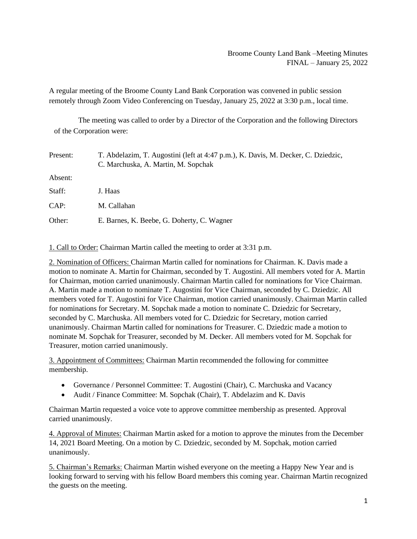## Broome County Land Bank –Meeting Minutes FINAL – January 25, 2022

A regular meeting of the Broome County Land Bank Corporation was convened in public session remotely through Zoom Video Conferencing on Tuesday, January 25, 2022 at 3:30 p.m., local time.

The meeting was called to order by a Director of the Corporation and the following Directors of the Corporation were:

| Present: | T. Abdelazim, T. Augostini (left at 4:47 p.m.), K. Davis, M. Decker, C. Dziedzic,<br>C. Marchuska, A. Martin, M. Sopchak |
|----------|--------------------------------------------------------------------------------------------------------------------------|
| Absent:  |                                                                                                                          |
| Staff:   | J. Haas                                                                                                                  |
| CAP:     | M. Callahan                                                                                                              |
| Other:   | E. Barnes, K. Beebe, G. Doherty, C. Wagner                                                                               |

1. Call to Order: Chairman Martin called the meeting to order at 3:31 p.m.

2. Nomination of Officers: Chairman Martin called for nominations for Chairman. K. Davis made a motion to nominate A. Martin for Chairman, seconded by T. Augostini. All members voted for A. Martin for Chairman, motion carried unanimously. Chairman Martin called for nominations for Vice Chairman. A. Martin made a motion to nominate T. Augostini for Vice Chairman, seconded by C. Dziedzic. All members voted for T. Augostini for Vice Chairman, motion carried unanimously. Chairman Martin called for nominations for Secretary. M. Sopchak made a motion to nominate C. Dziedzic for Secretary, seconded by C. Marchuska. All members voted for C. Dziedzic for Secretary, motion carried unanimously. Chairman Martin called for nominations for Treasurer. C. Dziedzic made a motion to nominate M. Sopchak for Treasurer, seconded by M. Decker. All members voted for M. Sopchak for Treasurer, motion carried unanimously.

3. Appointment of Committees: Chairman Martin recommended the following for committee membership.

- Governance / Personnel Committee: T. Augostini (Chair), C. Marchuska and Vacancy
- Audit / Finance Committee: M. Sopchak (Chair), T. Abdelazim and K. Davis

Chairman Martin requested a voice vote to approve committee membership as presented. Approval carried unanimously.

4. Approval of Minutes: Chairman Martin asked for a motion to approve the minutes from the December 14, 2021 Board Meeting. On a motion by C. Dziedzic, seconded by M. Sopchak, motion carried unanimously.

5. Chairman's Remarks: Chairman Martin wished everyone on the meeting a Happy New Year and is looking forward to serving with his fellow Board members this coming year. Chairman Martin recognized the guests on the meeting.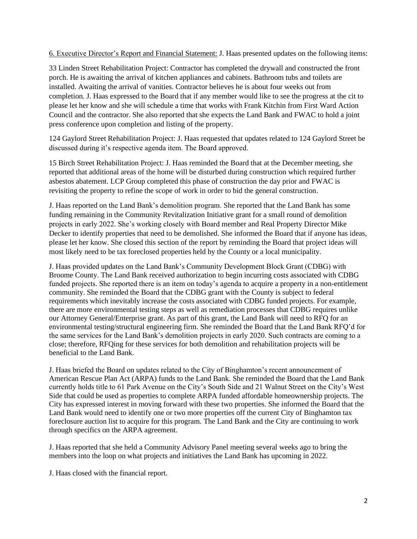6. Executive Director's Report and Financial Statement: J. Haas presented updates on the following items:

33 Linden Street Rehabilitation Project: Contractor has completed the drywall and constructed the front porch. He is awaiting the arrival of kitchen appliances and cabinets. Bathroom tubs and toilets are installed. Awaiting the arrival of vanities. Contractor believes he is about four weeks out from completion. J. Haas expressed to the Board that if any member would like to see the progress at the cit to please let her know and she will schedule a time that works with Frank Kitchin from First Ward Action Council and the contractor. She also reported that she expects the Land Bank and FWAC to hold a joint press conference upon completion and listing of the property.

124 Gaylord Street Rehabilitation Project: J. Haas requested that updates related to 124 Gaylord Street be discussed during it's respective agenda item. The Board approved.

15 Birch Street Rehabilitation Project: J. Haas reminded the Board that at the December meeting, she reported that additional areas of the home will be disturbed during construction which required further asbestos abatement. LCP Group completed this phase of construction the day prior and FWAC is revisiting the property to refine the scope of work in order to bid the general construction.

J. Haas reported on the Land Bank's demolition program. She reported that the Land Bank has some funding remaining in the Community Revitalization Initiative grant for a small round of demolition projects in early 2022. She's working closely with Board member and Real Property Director Mike Decker to identify properties that need to be demolished. She informed the Board that if anyone has ideas, please let her know. She closed this section of the report by reminding the Board that project ideas will most likely need to be tax foreclosed properties held by the County or a local municipality.

J. Haas provided updates on the Land Bank's Community Development Block Grant (CDBG) with Broome County. The Land Bank received authorization to begin incurring costs associated with CDBG funded projects. She reported there is an item on today's agenda to acquire a property in a non-entitlement community. She reminded the Board that the CDBG grant with the County is subject to federal requirements which inevitably increase the costs associated with CDBG funded projects. For example, there are more environmental testing steps as well as remediation processes that CDBG requires unlike our Attorney General/Enterprise grant. As part of this grant, the Land Bank will need to RFQ for an environmental testing/structural engineering firm. She reminded the Board that the Land Bank RFQ'd for the same services for the Land Bank's demolition projects in early 2020. Such contracts are coming to a close; therefore, RFQing for these services for both demolition and rehabilitation projects will be beneficial to the Land Bank.

J. Haas briefed the Board on updates related to the City of Binghamton's recent announcement of American Rescue Plan Act (ARPA) funds to the Land Bank. She reminded the Board that the Land Bank currently holds title to 61 Park Avenue on the City's South Side and 21 Walnut Street on the City's West Side that could be used as properties to complete ARPA funded affordable homeownership projects. The City has expressed interest in moving forward with these two properties. She informed the Board that the Land Bank would need to identify one or two more properties off the current City of Binghamton tax foreclosure auction list to acquire for this program. The Land Bank and the City are continuing to work through specifics on the ARPA agreement.

J. Haas reported that she held a Community Advisory Panel meeting several weeks ago to bring the members into the loop on what projects and initiatives the Land Bank has upcoming in 2022.

J. Haas closed with the financial report.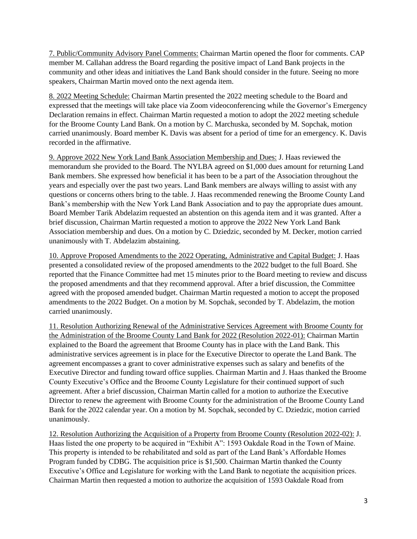7. Public/Community Advisory Panel Comments: Chairman Martin opened the floor for comments. CAP member M. Callahan address the Board regarding the positive impact of Land Bank projects in the community and other ideas and initiatives the Land Bank should consider in the future. Seeing no more speakers, Chairman Martin moved onto the next agenda item.

8. 2022 Meeting Schedule: Chairman Martin presented the 2022 meeting schedule to the Board and expressed that the meetings will take place via Zoom videoconferencing while the Governor's Emergency Declaration remains in effect. Chairman Martin requested a motion to adopt the 2022 meeting schedule for the Broome County Land Bank. On a motion by C. Marchuska, seconded by M. Sopchak, motion carried unanimously. Board member K. Davis was absent for a period of time for an emergency. K. Davis recorded in the affirmative.

9. Approve 2022 New York Land Bank Association Membership and Dues: J. Haas reviewed the memorandum she provided to the Board. The NYLBA agreed on \$1,000 dues amount for returning Land Bank members. She expressed how beneficial it has been to be a part of the Association throughout the years and especially over the past two years. Land Bank members are always willing to assist with any questions or concerns others bring to the table. J. Haas recommended renewing the Broome County Land Bank's membership with the New York Land Bank Association and to pay the appropriate dues amount. Board Member Tarik Abdelazim requested an abstention on this agenda item and it was granted. After a brief discussion, Chairman Martin requested a motion to approve the 2022 New York Land Bank Association membership and dues. On a motion by C. Dziedzic, seconded by M. Decker, motion carried unanimously with T. Abdelazim abstaining.

10. Approve Proposed Amendments to the 2022 Operating, Administrative and Capital Budget: J. Haas presented a consolidated review of the proposed amendments to the 2022 budget to the full Board. She reported that the Finance Committee had met 15 minutes prior to the Board meeting to review and discuss the proposed amendments and that they recommend approval. After a brief discussion, the Committee agreed with the proposed amended budget. Chairman Martin requested a motion to accept the proposed amendments to the 2022 Budget. On a motion by M. Sopchak, seconded by T. Abdelazim, the motion carried unanimously.

11. Resolution Authorizing Renewal of the Administrative Services Agreement with Broome County for the Administration of the Broome County Land Bank for 2022 (Resolution 2022-01): Chairman Martin explained to the Board the agreement that Broome County has in place with the Land Bank. This administrative services agreement is in place for the Executive Director to operate the Land Bank. The agreement encompasses a grant to cover administrative expenses such as salary and benefits of the Executive Director and funding toward office supplies. Chairman Martin and J. Haas thanked the Broome County Executive's Office and the Broome County Legislature for their continued support of such agreement. After a brief discussion, Chairman Martin called for a motion to authorize the Executive Director to renew the agreement with Broome County for the administration of the Broome County Land Bank for the 2022 calendar year. On a motion by M. Sopchak, seconded by C. Dziedzic, motion carried unanimously.

12. Resolution Authorizing the Acquisition of a Property from Broome County (Resolution 2022-02): J. Haas listed the one property to be acquired in "Exhibit A": 1593 Oakdale Road in the Town of Maine. This property is intended to be rehabilitated and sold as part of the Land Bank's Affordable Homes Program funded by CDBG. The acquisition price is \$1,500. Chairman Martin thanked the County Executive's Office and Legislature for working with the Land Bank to negotiate the acquisition prices. Chairman Martin then requested a motion to authorize the acquisition of 1593 Oakdale Road from